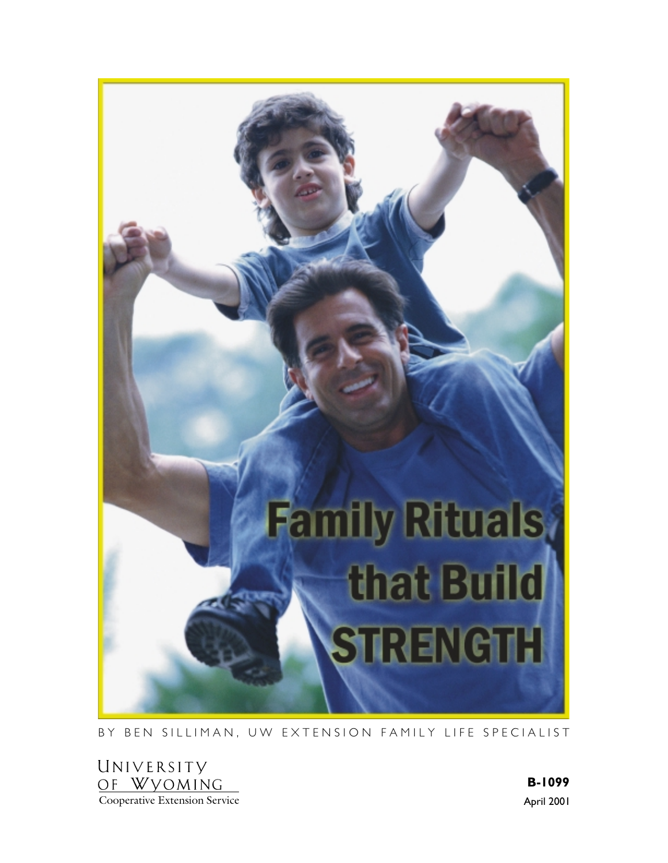

BY BEN SILLIMAN, UW EXTENSION FAMILY LIFE SPECIALIST

UNIVERSITY OF WYOMING Cooperative Extension Service

April 2001 B-1099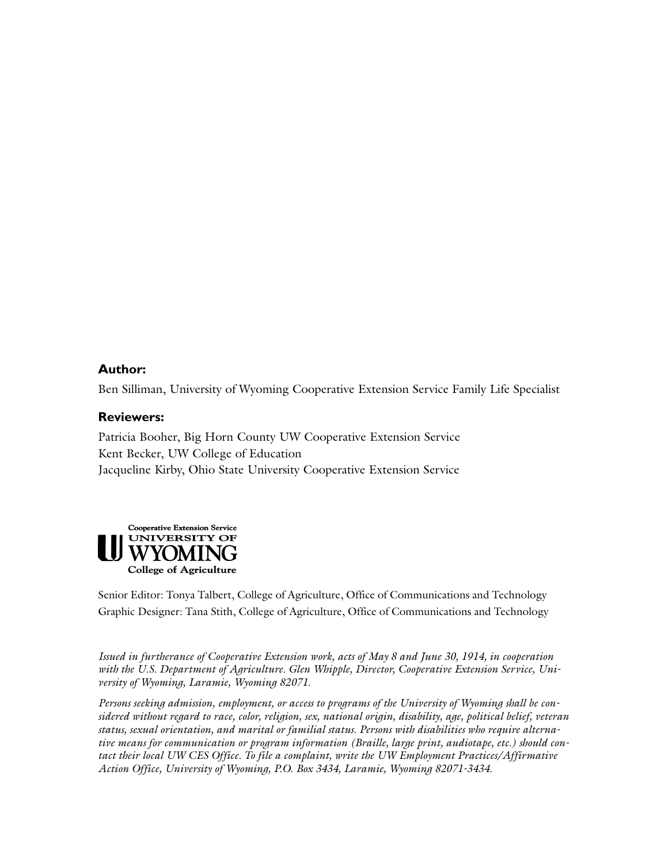## Author:

Ben Silliman, University of Wyoming Cooperative Extension Service Family Life Specialist

#### **Reviewers:**

Patricia Booher, Big Horn County UW Cooperative Extension Service Kent Becker, UW College of Education Jacqueline Kirby, Ohio State University Cooperative Extension Service



Senior Editor: Tonya Talbert, College of Agriculture, Office of Communications and Technology Graphic Designer: Tana Stith, College of Agriculture, Office of Communications and Technology

*Issued in furtherance of Cooperative Extension work, acts of May 8 and June 30, 1914, in cooperation with the U.S. Department of Agriculture. Glen Whipple, Director, Cooperative Extension Service, University of Wyoming, Laramie, Wyoming 82071.*

*Persons seeking admission, employment, or access to programs of the University of Wyoming shall be considered without regard to race, color, religion, sex, national origin, disability, age, political belief, veteran status, sexual orientation, and marital or familial status. Persons with disabilities who require alternative means for communication or program information (Braille, large print, audiotape, etc.) should contact their local UW CES Office. To file a complaint, write the UW Employment Practices/Affirmative Action Office, University of Wyoming, P.O. Box 3434, Laramie, Wyoming 82071-3434.*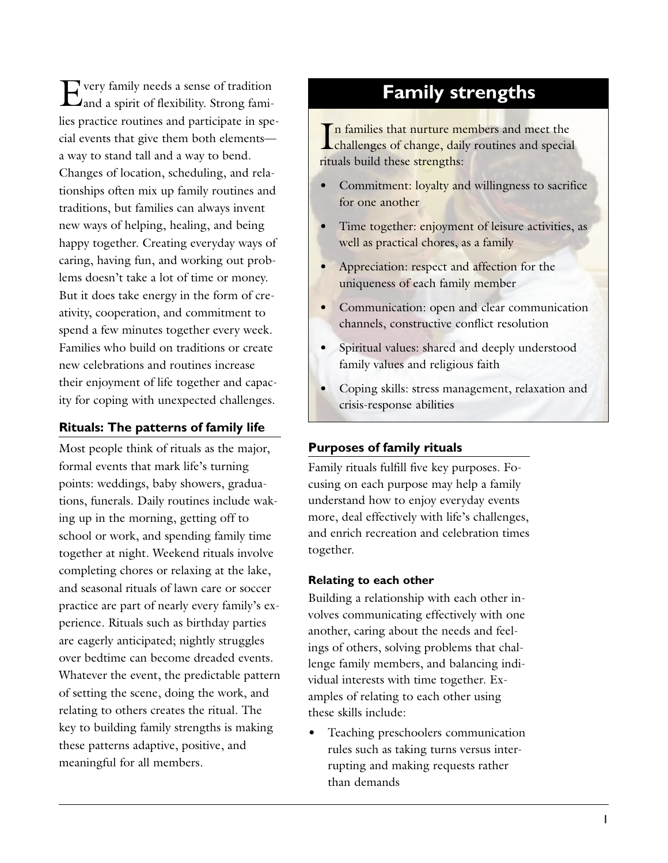Every family needs a sense of tradition and a spirit of flexibility. Strong families practice routines and participate in special events that give them both elements a way to stand tall and a way to bend. Changes of location, scheduling, and relationships often mix up family routines and traditions, but families can always invent new ways of helping, healing, and being happy together. Creating everyday ways of caring, having fun, and working out problems doesn't take a lot of time or money. But it does take energy in the form of creativity, cooperation, and commitment to spend a few minutes together every week. Families who build on traditions or create new celebrations and routines increase their enjoyment of life together and capacity for coping with unexpected challenges.

## **Rituals: The patterns of family life**

Most people think of rituals as the major, formal events that mark life's turning points: weddings, baby showers, graduations, funerals. Daily routines include waking up in the morning, getting off to school or work, and spending family time together at night. Weekend rituals involve completing chores or relaxing at the lake, and seasonal rituals of lawn care or soccer practice are part of nearly every family's experience. Rituals such as birthday parties are eagerly anticipated; nightly struggles over bedtime can become dreaded events. Whatever the event, the predictable pattern of setting the scene, doing the work, and relating to others creates the ritual. The key to building family strengths is making these patterns adaptive, positive, and meaningful for all members.

# **Family strengths**

In families that nurture members and meet the<br>challenges of change, daily routines and special In families that nurture members and meet the rituals build these strengths:

- Commitment: loyalty and willingness to sacrifice for one another
- Time together: enjoyment of leisure activities, as well as practical chores, as a family
- Appreciation: respect and affection for the uniqueness of each family member
- Communication: open and clear communication channels, constructive conflict resolution
- Spiritual values: shared and deeply understood family values and religious faith
- Coping skills: stress management, relaxation and crisis-response abilities

### **Purposes of family rituals**

Family rituals fulfill five key purposes. Focusing on each purpose may help a family understand how to enjoy everyday events more, deal effectively with life's challenges, and enrich recreation and celebration times together.

#### Relating to each other

Building a relationship with each other involves communicating effectively with one another, caring about the needs and feelings of others, solving problems that challenge family members, and balancing individual interests with time together. Examples of relating to each other using these skills include:

• Teaching preschoolers communication rules such as taking turns versus interrupting and making requests rather than demands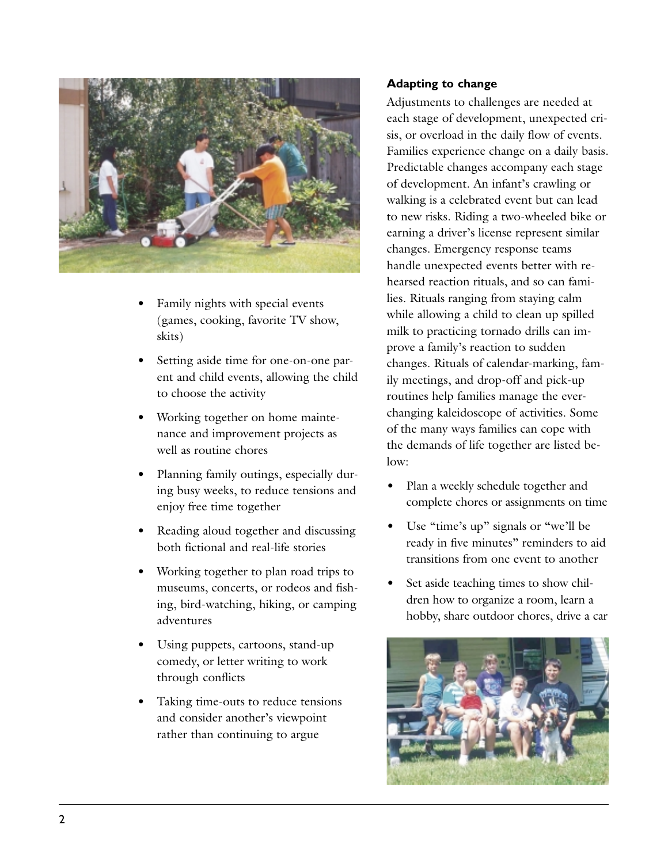

- Family nights with special events (games, cooking, favorite TV show, skits)
- Setting aside time for one-on-one parent and child events, allowing the child to choose the activity
- Working together on home maintenance and improvement projects as well as routine chores
- Planning family outings, especially during busy weeks, to reduce tensions and enjoy free time together
- Reading aloud together and discussing both fictional and real-life stories
- Working together to plan road trips to museums, concerts, or rodeos and fishing, bird-watching, hiking, or camping adventures
- Using puppets, cartoons, stand-up comedy, or letter writing to work through conflicts
- Taking time-outs to reduce tensions and consider another's viewpoint rather than continuing to argue

## **Adapting to change**

Adjustments to challenges are needed at each stage of development, unexpected crisis, or overload in the daily flow of events. Families experience change on a daily basis. Predictable changes accompany each stage of development. An infant's crawling or walking is a celebrated event but can lead to new risks. Riding a two-wheeled bike or earning a driver's license represent similar changes. Emergency response teams handle unexpected events better with rehearsed reaction rituals, and so can families. Rituals ranging from staying calm while allowing a child to clean up spilled milk to practicing tornado drills can improve a family's reaction to sudden changes. Rituals of calendar-marking, family meetings, and drop-off and pick-up routines help families manage the everchanging kaleidoscope of activities. Some of the many ways families can cope with the demands of life together are listed below:

- Plan a weekly schedule together and complete chores or assignments on time
- Use "time's up" signals or "we'll be ready in five minutes" reminders to aid transitions from one event to another
- Set aside teaching times to show children how to organize a room, learn a hobby, share outdoor chores, drive a car

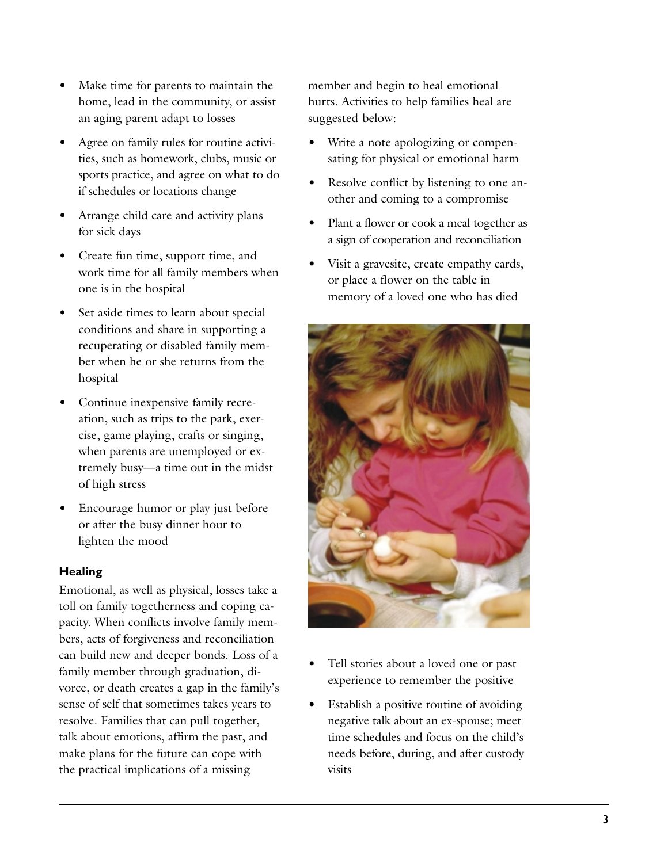- Make time for parents to maintain the home, lead in the community, or assist an aging parent adapt to losses
- Agree on family rules for routine activities, such as homework, clubs, music or sports practice, and agree on what to do if schedules or locations change
- Arrange child care and activity plans for sick days
- Create fun time, support time, and work time for all family members when one is in the hospital
- Set aside times to learn about special conditions and share in supporting a recuperating or disabled family member when he or she returns from the hospital
- Continue inexpensive family recreation, such as trips to the park, exercise, game playing, crafts or singing, when parents are unemployed or extremely busy—a time out in the midst of high stress
- Encourage humor or play just before or after the busy dinner hour to lighten the mood

## **Healing**

Emotional, as well as physical, losses take a toll on family togetherness and coping capacity. When conflicts involve family members, acts of forgiveness and reconciliation can build new and deeper bonds. Loss of a family member through graduation, divorce, or death creates a gap in the family's sense of self that sometimes takes years to resolve. Families that can pull together, talk about emotions, affirm the past, and make plans for the future can cope with the practical implications of a missing

member and begin to heal emotional hurts. Activities to help families heal are suggested below:

- Write a note apologizing or compensating for physical or emotional harm
- Resolve conflict by listening to one another and coming to a compromise
- Plant a flower or cook a meal together as a sign of cooperation and reconciliation
- Visit a gravesite, create empathy cards, or place a flower on the table in memory of a loved one who has died



- Tell stories about a loved one or past experience to remember the positive
- Establish a positive routine of avoiding negative talk about an ex-spouse; meet time schedules and focus on the child's needs before, during, and after custody visits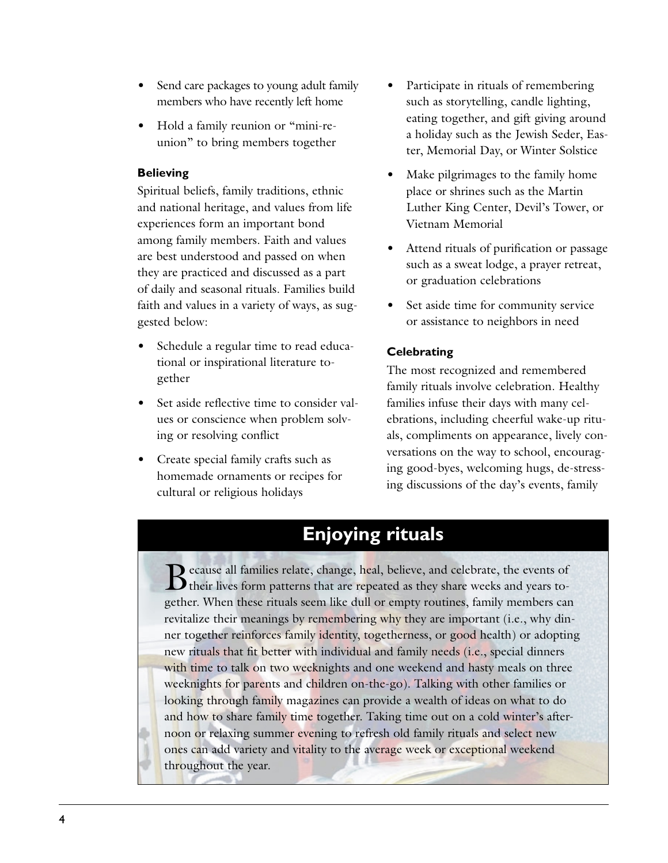- Send care packages to young adult family members who have recently left home
- Hold a family reunion or "mini-reunion" to bring members together

#### **Believing**

Spiritual beliefs, family traditions, ethnic and national heritage, and values from life experiences form an important bond among family members. Faith and values are best understood and passed on when they are practiced and discussed as a part of daily and seasonal rituals. Families build faith and values in a variety of ways, as suggested below:

- Schedule a regular time to read educational or inspirational literature together
- Set aside reflective time to consider values or conscience when problem solving or resolving conflict
- Create special family crafts such as homemade ornaments or recipes for cultural or religious holidays
- Participate in rituals of remembering such as storytelling, candle lighting, eating together, and gift giving around a holiday such as the Jewish Seder, Easter, Memorial Day, or Winter Solstice
- Make pilgrimages to the family home place or shrines such as the Martin Luther King Center, Devil's Tower, or Vietnam Memorial
- Attend rituals of purification or passage such as a sweat lodge, a prayer retreat, or graduation celebrations
- Set aside time for community service or assistance to neighbors in need

# Celebrating

The most recognized and remembered family rituals involve celebration. Healthy families infuse their days with many celebrations, including cheerful wake-up rituals, compliments on appearance, lively conversations on the way to school, encouraging good-byes, welcoming hugs, de-stressing discussions of the day's events, family

# **Enjoying rituals**

Because all families relate, change, heal, believe, and celebrate, the events of their lives form patterns that are repeated as they share weeks and years together. When these rituals seem like dull or empty routines, family members can revitalize their meanings by remembering why they are important (i.e., why dinner together reinforces family identity, togetherness, or good health) or adopting new rituals that fit better with individual and family needs (i.e., special dinners with time to talk on two weeknights and one weekend and hasty meals on three weeknights for parents and children on-the-go). Talking with other families or looking through family magazines can provide a wealth of ideas on what to do and how to share family time together. Taking time out on a cold winter's afternoon or relaxing summer evening to refresh old family rituals and select new ones can add variety and vitality to the average week or exceptional weekend throughout the year.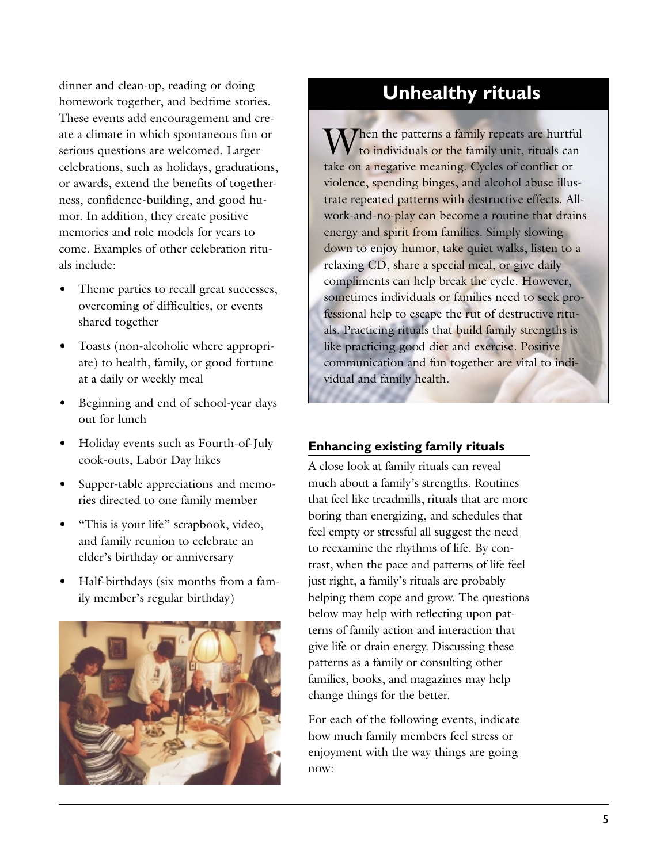dinner and clean-up, reading or doing homework together, and bedtime stories. These events add encouragement and create a climate in which spontaneous fun or serious questions are welcomed. Larger celebrations, such as holidays, graduations, or awards, extend the benefits of togetherness, confidence-building, and good humor. In addition, they create positive memories and role models for years to come. Examples of other celebration rituals include:

- Theme parties to recall great successes, overcoming of difficulties, or events shared together
- Toasts (non-alcoholic where appropriate) to health, family, or good fortune at a daily or weekly meal
- Beginning and end of school-year days out for lunch
- Holiday events such as Fourth-of-July cook-outs, Labor Day hikes
- Supper-table appreciations and memories directed to one family member
- "This is your life" scrapbook, video, and family reunion to celebrate an elder's birthday or anniversary
- Half-birthdays (six months from a family member's regular birthday)



# Unhealthy rituals

 $\sum_{n=1}^{\infty}$  Then the patterns a family repeats are hurtful to individuals or the family unit, rituals can take on a negative meaning. Cycles of conflict or violence, spending binges, and alcohol abuse illustrate repeated patterns with destructive effects. Allwork-and-no-play can become a routine that drains energy and spirit from families. Simply slowing down to enjoy humor, take quiet walks, listen to a relaxing CD, share a special meal, or give daily compliments can help break the cycle. However, sometimes individuals or families need to seek professional help to escape the rut of destructive rituals. Practicing rituals that build family strengths is like practicing good diet and exercise. Positive communication and fun together are vital to individual and family health.

## **Enhancing existing family rituals**

A close look at family rituals can reveal much about a family's strengths. Routines that feel like treadmills, rituals that are more boring than energizing, and schedules that feel empty or stressful all suggest the need to reexamine the rhythms of life. By contrast, when the pace and patterns of life feel just right, a family's rituals are probably helping them cope and grow. The questions below may help with reflecting upon patterns of family action and interaction that give life or drain energy. Discussing these patterns as a family or consulting other families, books, and magazines may help change things for the better.

For each of the following events, indicate how much family members feel stress or enjoyment with the way things are going now: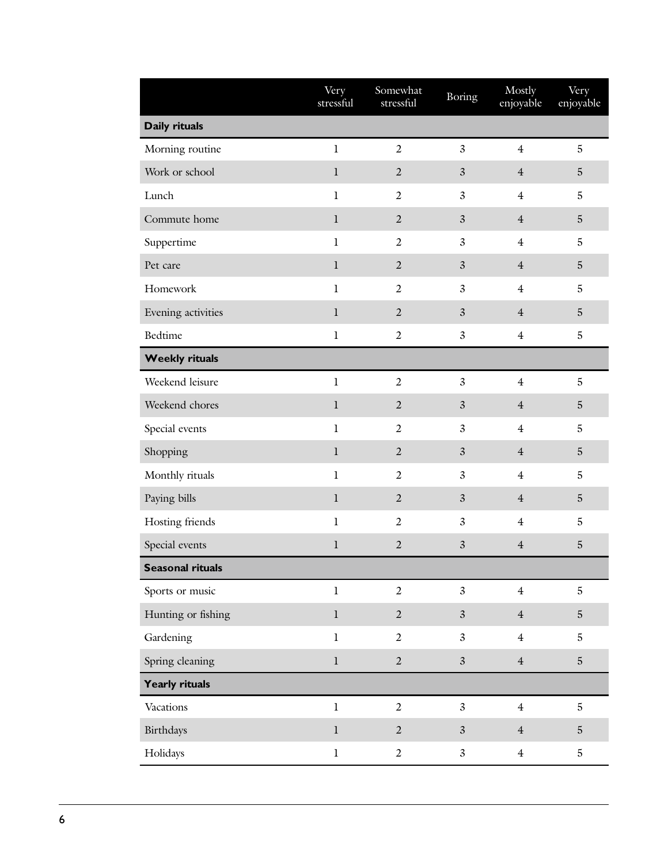|                         | Very<br>stressful | Somewhat<br>stressful | <b>Boring</b>  | Mostly<br>enjoyable | Very<br>enjoyable |
|-------------------------|-------------------|-----------------------|----------------|---------------------|-------------------|
| Daily rituals           |                   |                       |                |                     |                   |
| Morning routine         | $\mathbf{1}$      | $\overline{2}$        | $\mathfrak{Z}$ | $\overline{4}$      | $\mathbf 5$       |
| Work or school          | $\mathbf l$       | $\overline{2}$        | $\mathfrak{Z}$ | $\overline{4}$      | $\overline{5}$    |
| Lunch                   | $\mathbf{1}$      | $\overline{2}$        | $\overline{3}$ | $\overline{4}$      | $\mathbf 5$       |
| Commute home            | $\bf{l}$          | $\sqrt{2}$            | $\mathfrak{Z}$ | $\overline{4}$      | $\mathbf 5$       |
| Suppertime              | $\bf{l}$          | $\overline{2}$        | $\mathfrak{Z}$ | $\overline{4}$      | $\mathbf 5$       |
| Pet care                | $\bf{l}$          | $\sqrt{2}$            | $\mathfrak{Z}$ | $\overline{4}$      | $\mathbf 5$       |
| Homework                | $\mathbf{1}$      | $\overline{2}$        | $\mathfrak{Z}$ | $\overline{4}$      | $\mathbf 5$       |
| Evening activities      | $\bf{l}$          | $\overline{2}$        | $\mathfrak{Z}$ | $\overline{4}$      | 5                 |
| <b>Bedtime</b>          | $\mathbf{1}$      | $\overline{2}$        | $\mathfrak{Z}$ | $\overline{4}$      | $\mathbf 5$       |
| <b>Weekly rituals</b>   |                   |                       |                |                     |                   |
| Weekend leisure         | $\mathbf{1}$      | $\overline{2}$        | $\mathfrak{Z}$ | $\overline{4}$      | $\mathbf 5$       |
| Weekend chores          | $\bf{l}$          | $\overline{2}$        | $\mathfrak{Z}$ | $\overline{4}$      | $\mathbf 5$       |
| Special events          | $\mathbf{1}$      | $\overline{2}$        | $\mathfrak{Z}$ | $\overline{4}$      | 5                 |
| Shopping                | $\bf{l}$          | $\overline{2}$        | $\mathfrak{Z}$ | $\overline{4}$      | $\overline{5}$    |
| Monthly rituals         | $\mathbf{1}$      | $\overline{2}$        | $\mathfrak{Z}$ | $\overline{4}$      | 5                 |
| Paying bills            | $\mathbf l$       | $\overline{2}$        | $\mathfrak{Z}$ | $\overline{4}$      | $\sqrt{5}$        |
| Hosting friends         | $\mathbf{1}$      | $\overline{2}$        | $\mathfrak{Z}$ | $\overline{4}$      | 5                 |
| Special events          | $\mathbf l$       | $\sqrt{2}$            | $\mathfrak{Z}$ | $\overline{4}$      | $\mathbf 5$       |
| <b>Seasonal rituals</b> |                   |                       |                |                     |                   |
| Sports or music         | $\mathbf{1}$      | $\overline{2}$        | $\overline{3}$ | $\overline{4}$      | $\overline{5}$    |
| Hunting or fishing      | $\mathbf{l}$      | $\overline{2}$        | $\overline{3}$ | $\overline{4}$      | $\overline{5}$    |
| Gardening               | $\mathbf{1}$      | $\overline{2}$        | $\overline{3}$ | $\overline{4}$      | $\mathbf 5$       |
| Spring cleaning         | $\bf{l}$          | $\overline{2}$        | $\overline{3}$ | $\overline{4}$      | $\mathbf 5$       |
| <b>Yearly rituals</b>   |                   |                       |                |                     |                   |
| Vacations               | $\mathbf{1}$      | $\overline{2}$        | $\overline{3}$ | $\overline{4}$      | $\overline{5}$    |
| Birthdays               | $\bf{l}$          | $\overline{2}$        | $\mathfrak{Z}$ | $\overline{4}$      | $\overline{5}$    |
| Holidays                | $\mathbf{1}$      | $\overline{2}$        | $\mathfrak{Z}$ | $\overline{4}$      | $\mathbf 5$       |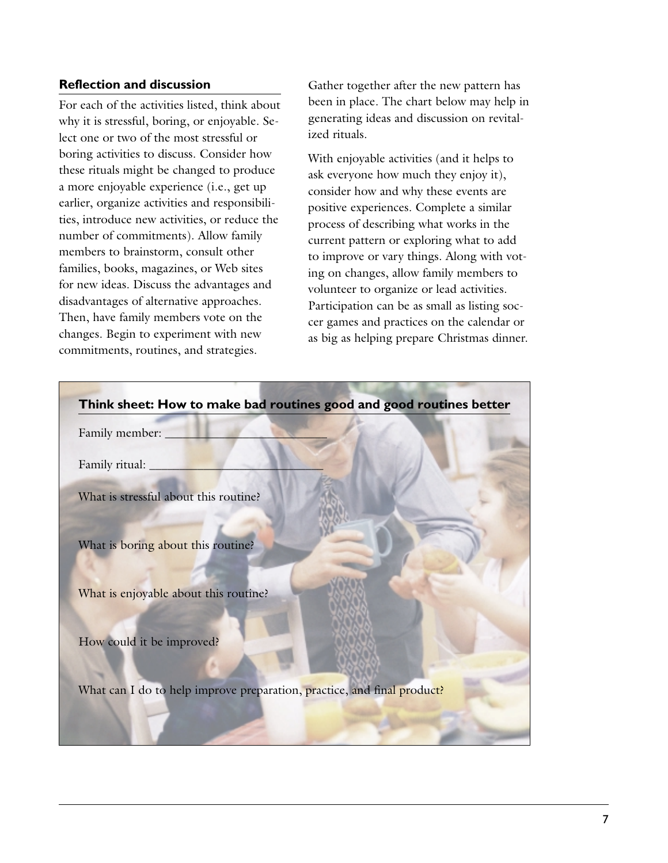#### **Reflection and discussion**

For each of the activities listed, think about why it is stressful, boring, or enjoyable. Select one or two of the most stressful or boring activities to discuss. Consider how these rituals might be changed to produce a more enjoyable experience (i.e., get up earlier, organize activities and responsibilities, introduce new activities, or reduce the number of commitments). Allow family members to brainstorm, consult other families, books, magazines, or Web sites for new ideas. Discuss the advantages and disadvantages of alternative approaches. Then, have family members vote on the changes. Begin to experiment with new commitments, routines, and strategies.

Gather together after the new pattern has been in place. The chart below may help in generating ideas and discussion on revitalized rituals.

With enjoyable activities (and it helps to ask everyone how much they enjoy it), consider how and why these events are positive experiences. Complete a similar process of describing what works in the current pattern or exploring what to add to improve or vary things. Along with voting on changes, allow family members to volunteer to organize or lead activities. Participation can be as small as listing soccer games and practices on the calendar or as big as helping prepare Christmas dinner.